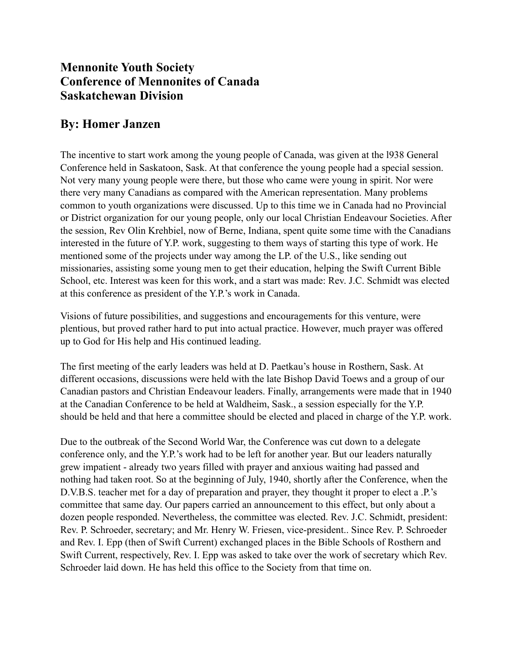## **Mennonite Youth Society Conference of Mennonites of Canada Saskatchewan Division**

# **By: Homer Janzen**

The incentive to start work among the young people of Canada, was given at the l938 General Conference held in Saskatoon, Sask. At that conference the young people had a special session. Not very many young people were there, but those who came were young in spirit. Nor were there very many Canadians as compared with the American representation. Many problems common to youth organizations were discussed. Up to this time we in Canada had no Provincial or District organization for our young people, only our local Christian Endeavour Societies. After the session, Rev Olin Krehbiel, now of Berne, Indiana, spent quite some time with the Canadians interested in the future of Y.P. work, suggesting to them ways of starting this type of work. He mentioned some of the projects under way among the LP. of the U.S., like sending out missionaries, assisting some young men to get their education, helping the Swift Current Bible School, etc. Interest was keen for this work, and a start was made: Rev. J.C. Schmidt was elected at this conference as president of the Y.P.'s work in Canada.

Visions of future possibilities, and suggestions and encouragements for this venture, were plentious, but proved rather hard to put into actual practice. However, much prayer was offered up to God for His help and His continued leading.

The first meeting of the early leaders was held at D. Paetkau's house in Rosthern, Sask. At different occasions, discussions were held with the late Bishop David Toews and a group of our Canadian pastors and Christian Endeavour leaders. Finally, arrangements were made that in 1940 at the Canadian Conference to be held at Waldheim, Sask., a session especially for the Y.P. should be held and that here a committee should be elected and placed in charge of the Y.P. work.

Due to the outbreak of the Second World War, the Conference was cut down to a delegate conference only, and the Y.P.'s work had to be left for another year. But our leaders naturally grew impatient - already two years filled with prayer and anxious waiting had passed and nothing had taken root. So at the beginning of July, 1940, shortly after the Conference, when the D.V.B.S. teacher met for a day of preparation and prayer, they thought it proper to elect a .P.'s committee that same day. Our papers carried an announcement to this effect, but only about a dozen people responded. Nevertheless, the committee was elected. Rev. J.C. Schmidt, president: Rev. P. Schroeder, secretary; and Mr. Henry W. Friesen, vice-president.. Since Rev. P. Schroeder and Rev. I. Epp (then of Swift Current) exchanged places in the Bible Schools of Rosthern and Swift Current, respectively, Rev. I. Epp was asked to take over the work of secretary which Rev. Schroeder laid down. He has held this office to the Society from that time on.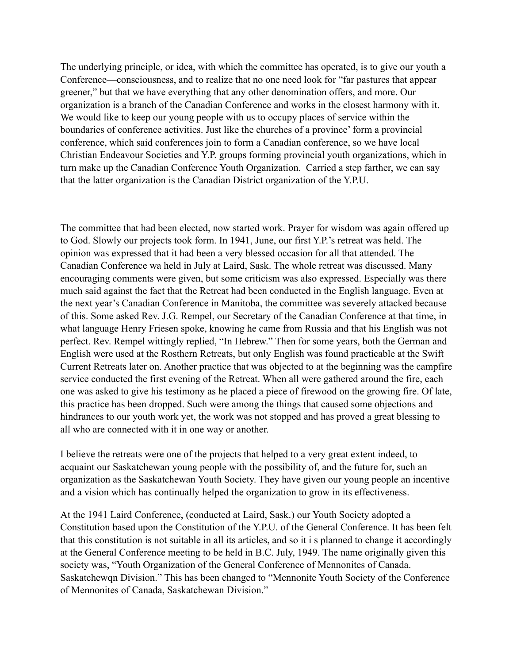The underlying principle, or idea, with which the committee has operated, is to give our youth a Conference—consciousness, and to realize that no one need look for "far pastures that appear greener," but that we have everything that any other denomination offers, and more. Our organization is a branch of the Canadian Conference and works in the closest harmony with it. We would like to keep our young people with us to occupy places of service within the boundaries of conference activities. Just like the churches of a province' form a provincial conference, which said conferences join to form a Canadian conference, so we have local Christian Endeavour Societies and Y.P. groups forming provincial youth organizations, which in turn make up the Canadian Conference Youth Organization. Carried a step farther, we can say that the latter organization is the Canadian District organization of the Y.P.U.

The committee that had been elected, now started work. Prayer for wisdom was again offered up to God. Slowly our projects took form. In 1941, June, our first Y.P.'s retreat was held. The opinion was expressed that it had been a very blessed occasion for all that attended. The Canadian Conference wa held in July at Laird, Sask. The whole retreat was discussed. Many encouraging comments were given, but some criticism was also expressed. Especially was there much said against the fact that the Retreat had been conducted in the English language. Even at the next year's Canadian Conference in Manitoba, the committee was severely attacked because of this. Some asked Rev. J.G. Rempel, our Secretary of the Canadian Conference at that time, in what language Henry Friesen spoke, knowing he came from Russia and that his English was not perfect. Rev. Rempel wittingly replied, "In Hebrew." Then for some years, both the German and English were used at the Rosthern Retreats, but only English was found practicable at the Swift Current Retreats later on. Another practice that was objected to at the beginning was the campfire service conducted the first evening of the Retreat. When all were gathered around the fire, each one was asked to give his testimony as he placed a piece of firewood on the growing fire. Of late, this practice has been dropped. Such were among the things that caused some objections and hindrances to our youth work yet, the work was not stopped and has proved a great blessing to all who are connected with it in one way or another.

I believe the retreats were one of the projects that helped to a very great extent indeed, to acquaint our Saskatchewan young people with the possibility of, and the future for, such an organization as the Saskatchewan Youth Society. They have given our young people an incentive and a vision which has continually helped the organization to grow in its effectiveness.

At the 1941 Laird Conference, (conducted at Laird, Sask.) our Youth Society adopted a Constitution based upon the Constitution of the Y.P.U. of the General Conference. It has been felt that this constitution is not suitable in all its articles, and so it i s planned to change it accordingly at the General Conference meeting to be held in B.C. July, 1949. The name originally given this society was, "Youth Organization of the General Conference of Mennonites of Canada. Saskatchewqn Division." This has been changed to "Mennonite Youth Society of the Conference of Mennonites of Canada, Saskatchewan Division."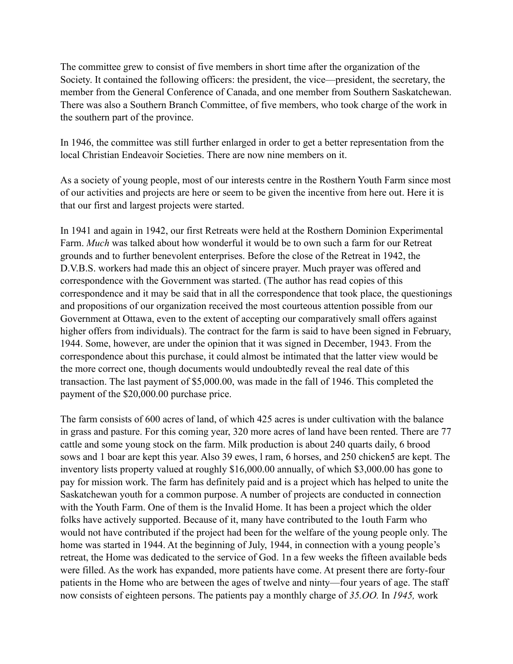The committee grew to consist of five members in short time after the organization of the Society. It contained the following officers: the president, the vice—president, the secretary, the member from the General Conference of Canada, and one member from Southern Saskatchewan. There was also a Southern Branch Committee, of five members, who took charge of the work in the southern part of the province.

In 1946, the committee was still further enlarged in order to get a better representation from the local Christian Endeavoir Societies. There are now nine members on it.

As a society of young people, most of our interests centre in the Rosthern Youth Farm since most of our activities and projects are here or seem to be given the incentive from here out. Here it is that our first and largest projects were started.

In 1941 and again in 1942, our first Retreats were held at the Rosthern Dominion Experimental Farm. *Much* was talked about how wonderful it would be to own such a farm for our Retreat grounds and to further benevolent enterprises. Before the close of the Retreat in 1942, the D.V.B.S. workers had made this an object of sincere prayer. Much prayer was offered and correspondence with the Government was started. (The author has read copies of this correspondence and it may be said that in all the correspondence that took place, the questionings and propositions of our organization received the most courteous attention possible from our Government at Ottawa, even to the extent of accepting our comparatively small offers against higher offers from individuals). The contract for the farm is said to have been signed in February, 1944. Some, however, are under the opinion that it was signed in December, 1943. From the correspondence about this purchase, it could almost be intimated that the latter view would be the more correct one, though documents would undoubtedly reveal the real date of this transaction. The last payment of \$5,000.00, was made in the fall of 1946. This completed the payment of the \$20,000.00 purchase price.

The farm consists of 600 acres of land, of which 425 acres is under cultivation with the balance in grass and pasture. For this coming year, 320 more acres of land have been rented. There are 77 cattle and some young stock on the farm. Milk production is about 240 quarts daily, 6 brood sows and 1 boar are kept this year. Also 39 ewes, l ram, 6 horses, and 250 chicken5 are kept. The inventory lists property valued at roughly \$16,000.00 annually, of which \$3,000.00 has gone to pay for mission work. The farm has definitely paid and is a project which has helped to unite the Saskatchewan youth for a common purpose. A number of projects are conducted in connection with the Youth Farm. One of them is the Invalid Home. It has been a project which the older folks have actively supported. Because of it, many have contributed to the 1outh Farm who would not have contributed if the project had been for the welfare of the young people only. The home was started in 1944. At the beginning of July, 1944, in connection with a young people's retreat, the Home was dedicated to the service of God. 1n a few weeks the fifteen available beds were filled. As the work has expanded, more patients have come. At present there are forty-four patients in the Home who are between the ages of twelve and ninty—four years of age. The staff now consists of eighteen persons. The patients pay a monthly charge of *35.OO.* In *1945,* work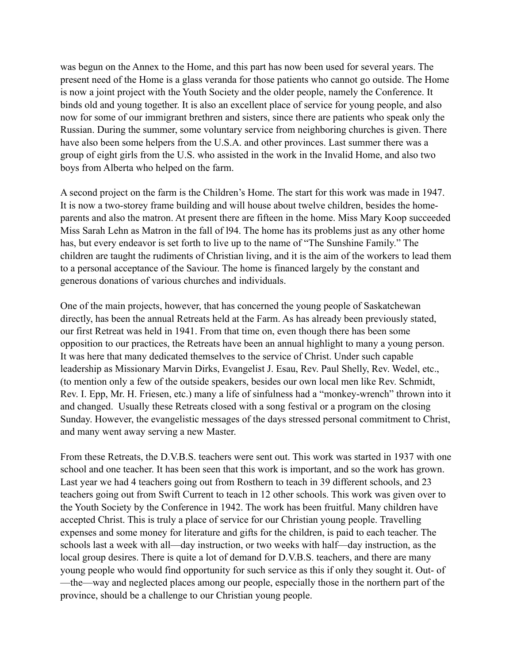was begun on the Annex to the Home, and this part has now been used for several years. The present need of the Home is a glass veranda for those patients who cannot go outside. The Home is now a joint project with the Youth Society and the older people, namely the Conference. It binds old and young together. It is also an excellent place of service for young people, and also now for some of our immigrant brethren and sisters, since there are patients who speak only the Russian. During the summer, some voluntary service from neighboring churches is given. There have also been some helpers from the U.S.A. and other provinces. Last summer there was a group of eight girls from the U.S. who assisted in the work in the Invalid Home, and also two boys from Alberta who helped on the farm.

A second project on the farm is the Children's Home. The start for this work was made in 1947. It is now a two-storey frame building and will house about twelve children, besides the homeparents and also the matron. At present there are fifteen in the home. Miss Mary Koop succeeded Miss Sarah Lehn as Matron in the fall of l94. The home has its problems just as any other home has, but every endeavor is set forth to live up to the name of "The Sunshine Family." The children are taught the rudiments of Christian living, and it is the aim of the workers to lead them to a personal acceptance of the Saviour. The home is financed largely by the constant and generous donations of various churches and individuals.

One of the main projects, however, that has concerned the young people of Saskatchewan directly, has been the annual Retreats held at the Farm. As has already been previously stated, our first Retreat was held in 1941. From that time on, even though there has been some opposition to our practices, the Retreats have been an annual highlight to many a young person. It was here that many dedicated themselves to the service of Christ. Under such capable leadership as Missionary Marvin Dirks, Evangelist J. Esau, Rev. Paul Shelly, Rev. Wedel, etc., (to mention only a few of the outside speakers, besides our own local men like Rev. Schmidt, Rev. I. Epp, Mr. H. Friesen, etc.) many a life of sinfulness had a "monkey-wrench" thrown into it and changed. Usually these Retreats closed with a song festival or a program on the closing Sunday. However, the evangelistic messages of the days stressed personal commitment to Christ, and many went away serving a new Master.

From these Retreats, the D.V.B.S. teachers were sent out. This work was started in 1937 with one school and one teacher. It has been seen that this work is important, and so the work has grown. Last year we had 4 teachers going out from Rosthern to teach in 39 different schools, and 23 teachers going out from Swift Current to teach in 12 other schools. This work was given over to the Youth Society by the Conference in 1942. The work has been fruitful. Many children have accepted Christ. This is truly a place of service for our Christian young people. Travelling expenses and some money for literature and gifts for the children, is paid to each teacher. The schools last a week with all—day instruction, or two weeks with half—day instruction, as the local group desires. There is quite a lot of demand for D.V.B.S. teachers, and there are many young people who would find opportunity for such service as this if only they sought it. Out- of —the—way and neglected places among our people, especially those in the northern part of the province, should be a challenge to our Christian young people.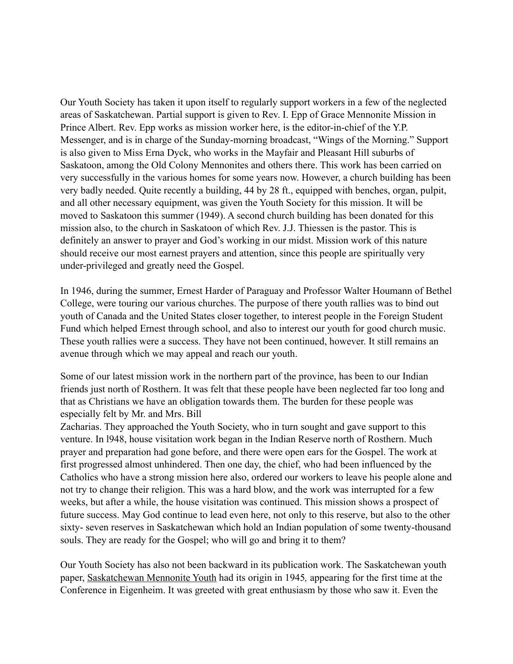Our Youth Society has taken it upon itself to regularly support workers in a few of the neglected areas of Saskatchewan. Partial support is given to Rev. I. Epp of Grace Mennonite Mission in Prince Albert. Rev. Epp works as mission worker here, is the editor-in-chief of the Y.P. Messenger, and is in charge of the Sunday-morning broadcast, "Wings of the Morning." Support is also given to Miss Erna Dyck, who works in the Mayfair and Pleasant Hill suburbs of Saskatoon, among the Old Colony Mennonites and others there. This work has been carried on very successfully in the various homes for some years now. However, a church building has been very badly needed. Quite recently a building, 44 by 28 ft., equipped with benches, organ, pulpit, and all other necessary equipment, was given the Youth Society for this mission. It will be moved to Saskatoon this summer (1949). A second church building has been donated for this mission also, to the church in Saskatoon of which Rev. J.J. Thiessen is the pastor. This is definitely an answer to prayer and God's working in our midst. Mission work of this nature should receive our most earnest prayers and attention, since this people are spiritually very under-privileged and greatly need the Gospel.

In 1946, during the summer, Ernest Harder of Paraguay and Professor Walter Houmann of Bethel College, were touring our various churches. The purpose of there youth rallies was to bind out youth of Canada and the United States closer together, to interest people in the Foreign Student Fund which helped Ernest through school, and also to interest our youth for good church music. These youth rallies were a success. They have not been continued, however. It still remains an avenue through which we may appeal and reach our youth.

Some of our latest mission work in the northern part of the province, has been to our Indian friends just north of Rosthern. It was felt that these people have been neglected far too long and that as Christians we have an obligation towards them. The burden for these people was especially felt by Mr. and Mrs. Bill

Zacharias. They approached the Youth Society, who in turn sought and gave support to this venture. In l948, house visitation work began in the Indian Reserve north of Rosthern. Much prayer and preparation had gone before, and there were open ears for the Gospel. The work at first progressed almost unhindered. Then one day, the chief, who had been influenced by the Catholics who have a strong mission here also, ordered our workers to leave his people alone and not try to change their religion. This was a hard blow, and the work was interrupted for a few weeks, but after a while, the house visitation was continued. This mission shows a prospect of future success. May God continue to lead even here, not only to this reserve, but also to the other sixty- seven reserves in Saskatchewan which hold an Indian population of some twenty-thousand souls. They are ready for the Gospel; who will go and bring it to them?

Our Youth Society has also not been backward in its publication work. The Saskatchewan youth paper, Saskatchewan Mennonite Youth had its origin in 1945*,* appearing for the first time at the Conference in Eigenheim. It was greeted with great enthusiasm by those who saw it. Even the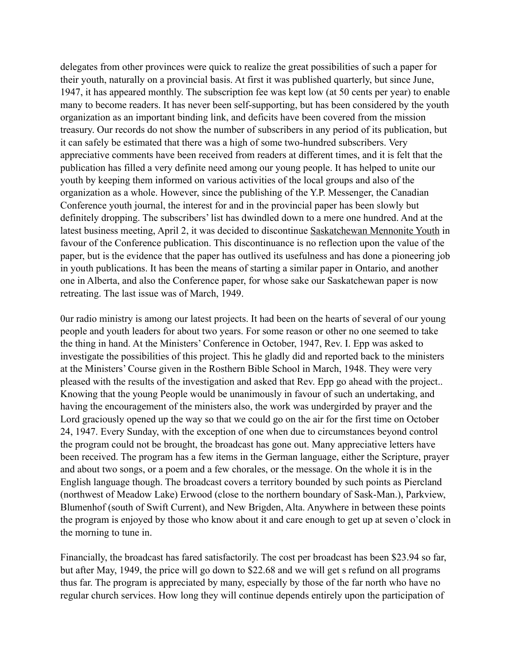delegates from other provinces were quick to realize the great possibilities of such a paper for their youth, naturally on a provincial basis. At first it was published quarterly, but since June, 1947, it has appeared monthly. The subscription fee was kept low (at 50 cents per year) to enable many to become readers. It has never been self-supporting, but has been considered by the youth organization as an important binding link, and deficits have been covered from the mission treasury. Our records do not show the number of subscribers in any period of its publication, but it can safely be estimated that there was a high of some two-hundred subscribers. Very appreciative comments have been received from readers at different times, and it is felt that the publication has filled a very definite need among our young people. It has helped to unite our youth by keeping them informed on various activities of the local groups and also of the organization as a whole. However, since the publishing of the Y.P. Messenger, the Canadian Conference youth journal, the interest for and in the provincial paper has been slowly but definitely dropping. The subscribers' list has dwindled down to a mere one hundred. And at the latest business meeting, April 2, it was decided to discontinue Saskatchewan Mennonite Youth in favour of the Conference publication. This discontinuance is no reflection upon the value of the paper, but is the evidence that the paper has outlived its usefulness and has done a pioneering job in youth publications. It has been the means of starting a similar paper in Ontario, and another one in Alberta, and also the Conference paper, for whose sake our Saskatchewan paper is now retreating. The last issue was of March, 1949.

0ur radio ministry is among our latest projects. It had been on the hearts of several of our young people and youth leaders for about two years. For some reason or other no one seemed to take the thing in hand. At the Ministers' Conference in October, 1947, Rev. I. Epp was asked to investigate the possibilities of this project. This he gladly did and reported back to the ministers at the Ministers' Course given in the Rosthern Bible School in March, 1948. They were very pleased with the results of the investigation and asked that Rev. Epp go ahead with the project.. Knowing that the young People would be unanimously in favour of such an undertaking, and having the encouragement of the ministers also, the work was undergirded by prayer and the Lord graciously opened up the way so that we could go on the air for the first time on October 24, 1947. Every Sunday, with the exception of one when due to circumstances beyond control the program could not be brought, the broadcast has gone out. Many appreciative letters have been received. The program has a few items in the German language, either the Scripture, prayer and about two songs, or a poem and a few chorales, or the message. On the whole it is in the English language though. The broadcast covers a territory bounded by such points as Piercland (northwest of Meadow Lake) Erwood (close to the northern boundary of Sask-Man.), Parkview, Blumenhof (south of Swift Current), and New Brigden, Alta. Anywhere in between these points the program is enjoyed by those who know about it and care enough to get up at seven o'clock in the morning to tune in.

Financially, the broadcast has fared satisfactorily. The cost per broadcast has been \$23.94 so far, but after May, 1949, the price will go down to \$22.68 and we will get s refund on all programs thus far. The program is appreciated by many, especially by those of the far north who have no regular church services. How long they will continue depends entirely upon the participation of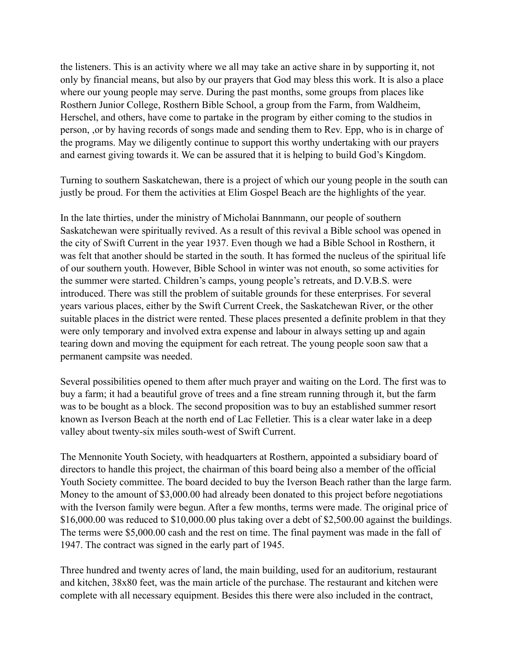the listeners. This is an activity where we all may take an active share in by supporting it, not only by financial means, but also by our prayers that God may bless this work. It is also a place where our young people may serve. During the past months, some groups from places like Rosthern Junior College, Rosthern Bible School, a group from the Farm, from Waldheim, Herschel, and others, have come to partake in the program by either coming to the studios in person, ,or by having records of songs made and sending them to Rev. Epp, who is in charge of the programs. May we diligently continue to support this worthy undertaking with our prayers and earnest giving towards it. We can be assured that it is helping to build God's Kingdom.

Turning to southern Saskatchewan, there is a project of which our young people in the south can justly be proud. For them the activities at Elim Gospel Beach are the highlights of the year.

In the late thirties, under the ministry of Micholai Bannmann, our people of southern Saskatchewan were spiritually revived. As a result of this revival a Bible school was opened in the city of Swift Current in the year 1937. Even though we had a Bible School in Rosthern, it was felt that another should be started in the south. It has formed the nucleus of the spiritual life of our southern youth. However, Bible School in winter was not enouth, so some activities for the summer were started. Children's camps, young people's retreats, and D.V.B.S. were introduced. There was still the problem of suitable grounds for these enterprises. For several years various places, either by the Swift Current Creek, the Saskatchewan River, or the other suitable places in the district were rented. These places presented a definite problem in that they were only temporary and involved extra expense and labour in always setting up and again tearing down and moving the equipment for each retreat. The young people soon saw that a permanent campsite was needed.

Several possibilities opened to them after much prayer and waiting on the Lord. The first was to buy a farm; it had a beautiful grove of trees and a fine stream running through it, but the farm was to be bought as a block. The second proposition was to buy an established summer resort known as Iverson Beach at the north end of Lac Felletier. This is a clear water lake in a deep valley about twenty-six miles south-west of Swift Current.

The Mennonite Youth Society, with headquarters at Rosthern, appointed a subsidiary board of directors to handle this project, the chairman of this board being also a member of the official Youth Society committee. The board decided to buy the Iverson Beach rather than the large farm. Money to the amount of \$3,000.00 had already been donated to this project before negotiations with the Iverson family were begun. After a few months, terms were made. The original price of \$16,000.00 was reduced to \$10,000.00 plus taking over a debt of \$2,500.00 against the buildings. The terms were \$5,000.00 cash and the rest on time. The final payment was made in the fall of 1947. The contract was signed in the early part of 1945.

Three hundred and twenty acres of land, the main building, used for an auditorium, restaurant and kitchen, 38x80 feet, was the main article of the purchase. The restaurant and kitchen were complete with all necessary equipment. Besides this there were also included in the contract,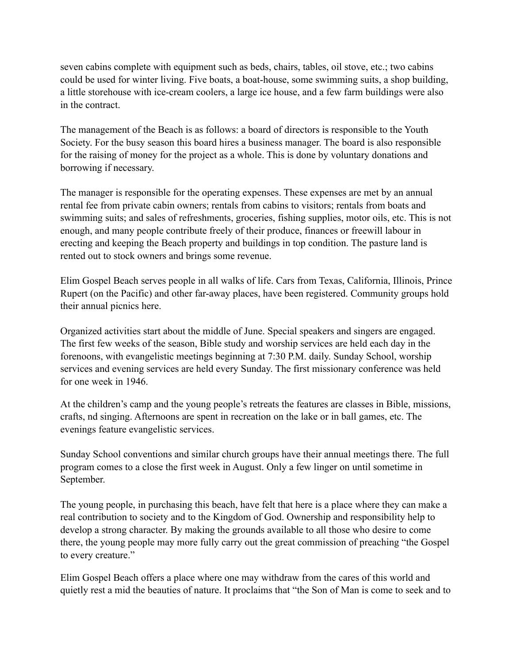seven cabins complete with equipment such as beds, chairs, tables, oil stove, etc.; two cabins could be used for winter living. Five boats, a boat-house, some swimming suits, a shop building, a little storehouse with ice-cream coolers, a large ice house, and a few farm buildings were also in the contract.

The management of the Beach is as follows: a board of directors is responsible to the Youth Society. For the busy season this board hires a business manager. The board is also responsible for the raising of money for the project as a whole. This is done by voluntary donations and borrowing if necessary.

The manager is responsible for the operating expenses. These expenses are met by an annual rental fee from private cabin owners; rentals from cabins to visitors; rentals from boats and swimming suits; and sales of refreshments, groceries, fishing supplies, motor oils, etc. This is not enough, and many people contribute freely of their produce, finances or freewill labour in erecting and keeping the Beach property and buildings in top condition. The pasture land is rented out to stock owners and brings some revenue.

Elim Gospel Beach serves people in all walks of life. Cars from Texas, California, Illinois, Prince Rupert (on the Pacific) and other far-away places, have been registered. Community groups hold their annual picnics here.

Organized activities start about the middle of June. Special speakers and singers are engaged. The first few weeks of the season, Bible study and worship services are held each day in the forenoons, with evangelistic meetings beginning at 7:30 P.M. daily. Sunday School, worship services and evening services are held every Sunday. The first missionary conference was held for one week in 1946.

At the children's camp and the young people's retreats the features are classes in Bible, missions, crafts, nd singing. Afternoons are spent in recreation on the lake or in ball games, etc. The evenings feature evangelistic services.

Sunday School conventions and similar church groups have their annual meetings there. The full program comes to a close the first week in August. Only a few linger on until sometime in September.

The young people, in purchasing this beach, have felt that here is a place where they can make a real contribution to society and to the Kingdom of God. Ownership and responsibility help to develop a strong character. By making the grounds available to all those who desire to come there, the young people may more fully carry out the great commission of preaching "the Gospel to every creature."

Elim Gospel Beach offers a place where one may withdraw from the cares of this world and quietly rest a mid the beauties of nature. It proclaims that "the Son of Man is come to seek and to